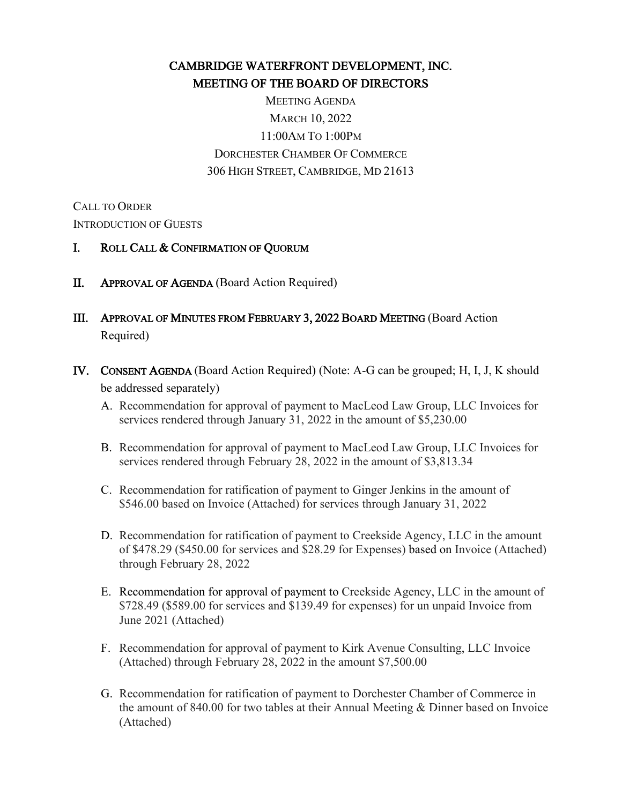# CAMBRIDGE WATERFRONT DEVELOPMENT, INC. MEETING OF THE BOARD OF DIRECTORS

MEETING AGENDA MARCH 10, 2022 11:00AM TO 1:00PM DORCHESTER CHAMBER OF COMMERCE 306 HIGH STREET, CAMBRIDGE, MD 21613

CALL TO ORDER INTRODUCTION OF GUESTS

#### I. ROLL CALL & CONFIRMATION OF QUORUM

- II. APPROVAL OF AGENDA (Board Action Required)
- III. APPROVAL OF MINUTES FROM FEBRUARY 3, 2022 BOARD MEETING (Board Action Required)
- IV. CONSENT AGENDA (Board Action Required) (Note: A-G can be grouped; H, I, J, K should be addressed separately)
	- A. Recommendation for approval of payment to MacLeod Law Group, LLC Invoices for services rendered through January 31, 2022 in the amount of \$5,230.00
	- B. Recommendation for approval of payment to MacLeod Law Group, LLC Invoices for services rendered through February 28, 2022 in the amount of \$3,813.34
	- C. Recommendation for ratification of payment to Ginger Jenkins in the amount of \$546.00 based on Invoice (Attached) for services through January 31, 2022
	- D. Recommendation for ratification of payment to Creekside Agency, LLC in the amount of \$478.29 (\$450.00 for services and \$28.29 for Expenses) based on Invoice (Attached) through February 28, 2022
	- E. Recommendation for approval of payment to Creekside Agency, LLC in the amount of \$728.49 (\$589.00 for services and \$139.49 for expenses) for un unpaid Invoice from June 2021 (Attached)
	- F. Recommendation for approval of payment to Kirk Avenue Consulting, LLC Invoice (Attached) through February 28, 2022 in the amount \$7,500.00
	- G. Recommendation for ratification of payment to Dorchester Chamber of Commerce in the amount of 840.00 for two tables at their Annual Meeting & Dinner based on Invoice (Attached)